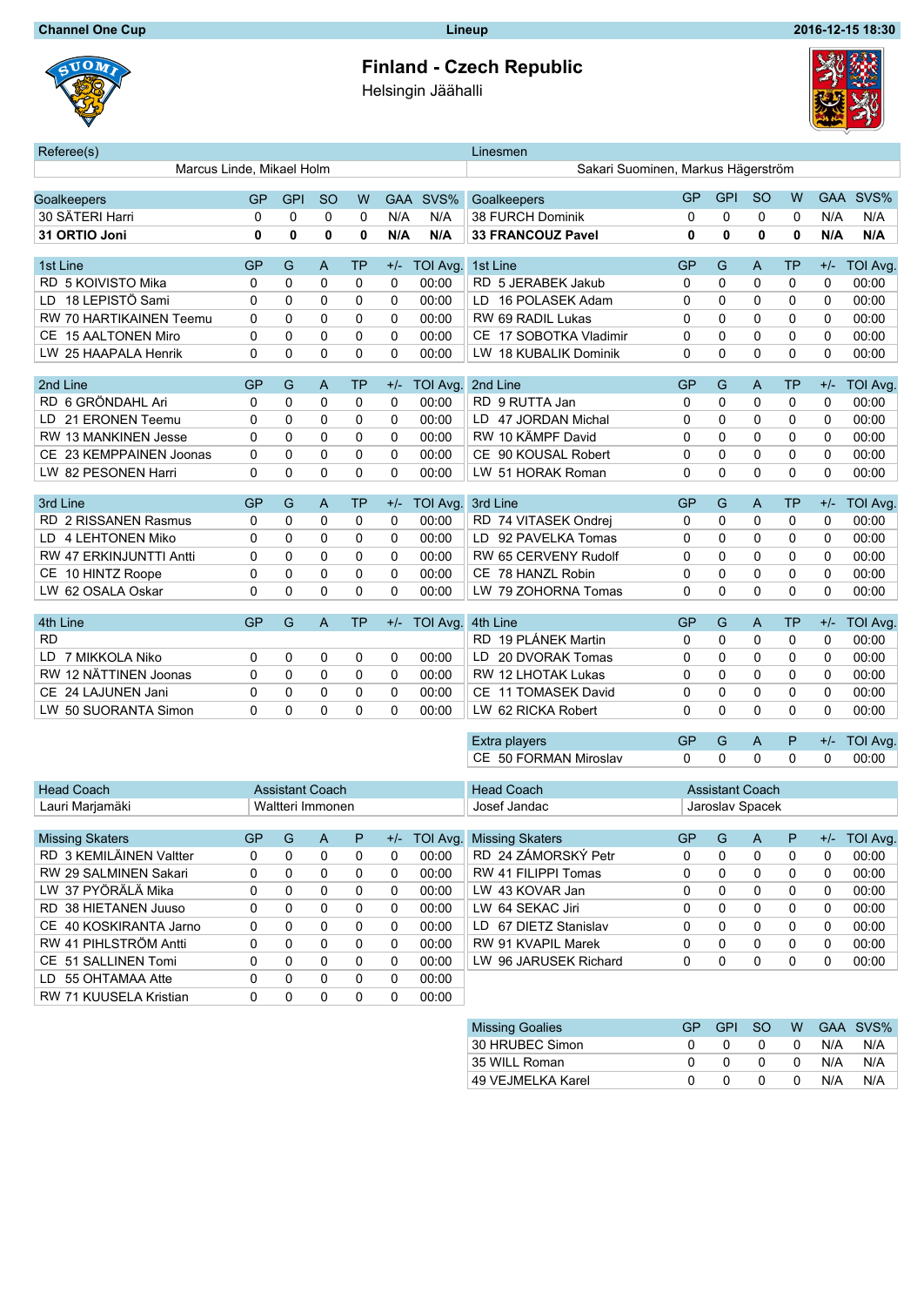UOM

## **Finland - Czech Republic**

Helsingin Jäähalli



| Referee(s)                                  |           |            |                |              |              |                                    | Linesmen                                 |                        |          |          |             |             |                 |
|---------------------------------------------|-----------|------------|----------------|--------------|--------------|------------------------------------|------------------------------------------|------------------------|----------|----------|-------------|-------------|-----------------|
| Marcus Linde, Mikael Holm                   |           |            |                |              |              | Sakari Suominen, Markus Hägerström |                                          |                        |          |          |             |             |                 |
|                                             | <b>GP</b> | <b>GPI</b> |                | W            |              | GAA SVS%                           | <b>GP</b><br><b>GPI</b><br><sub>SO</sub> |                        |          |          | W           | <b>GAA</b>  | SVS%            |
| Goalkeepers<br>30 SÄTERI Harri              | 0         | 0          | <b>SO</b><br>0 | 0            | N/A          | N/A                                | Goalkeepers<br>38 FURCH Dominik          | 0                      | 0        | 0        | 0           | N/A         | N/A             |
| 31 ORTIO Joni                               | 0         | 0          | 0              | $\mathbf{0}$ | N/A          | N/A                                | <b>33 FRANCOUZ Pavel</b>                 | 0                      | 0        | 0        | 0           | N/A         | N/A             |
|                                             |           |            |                |              |              |                                    |                                          |                        |          |          |             |             |                 |
| 1st Line                                    | GP        | G          | A              | <b>TP</b>    | $+/-$        | TOI Avg.                           | 1st Line                                 | GP                     | G        | A        | TP          | $+/-$       | <b>TOI Avg.</b> |
| RD 5 KOIVISTO Mika                          | 0         | 0          | 0              | 0            | 0            | 00:00                              | RD 5 JERABEK Jakub                       | 0                      | 0        | 0        | $\mathbf 0$ | 0           | 00:00           |
| 18 LEPISTÖ Sami<br>LD                       | 0         | 0          | 0              | 0            | 0            | 00:00                              | LD 16 POLASEK Adam                       | 0                      | 0        | 0        | $\mathbf 0$ | 0           | 00:00           |
| RW 70 HARTIKAINEN Teemu                     | 0         | 0          | 0              | 0            | 0            | 00:00                              | RW 69 RADIL Lukas                        | 0                      | $\Omega$ | 0        | $\mathbf 0$ | 0           | 00:00           |
| <b>15 AALTONEN Miro</b><br>CЕ               | 0         | 0          | 0              | 0            | 0            | 00:00                              | CE 17 SOBOTKA Vladimir                   | 0                      | 0        | 0        | $\mathbf 0$ | 0           | 00:00           |
| LW.<br>25 HAAPALA Henrik                    | 0         | 0          | 0              | 0            | $\Omega$     | 00:00                              | LW 18 KUBALIK Dominik                    | 0                      | $\Omega$ | $\Omega$ | $\Omega$    | $\Omega$    | 00:00           |
|                                             |           |            |                |              |              |                                    |                                          |                        |          |          |             |             |                 |
| 2nd Line                                    | GP        | G          | A              | ТP           | $+/-$        | <b>TOI Avg</b>                     | 2nd Line                                 | GP                     | G        | A        | <b>TP</b>   | $+/-$       | <b>TOI Avg</b>  |
| 6 GRÖNDAHL Ari<br>RD                        | 0         | 0          | 0              | 0            | 0            | 00:00                              | RD 9 RUTTA Jan                           | 0                      | 0        | 0        | 0           | 0           | 00:00           |
| 21 ERONEN Teemu<br>LD                       | 0         | 0          | 0              | 0            | 0            | 00:00                              | 47 JORDAN Michal<br>LD.                  | 0                      | 0        | 0        | 0           | 0           | 00:00           |
| <b>RW 13 MANKINEN Jesse</b>                 | 0         | 0          | 0              | 0            | 0            | 00:00                              | RW 10 KÄMPF David                        | 0                      | 0        | 0        | $\mathbf 0$ | 0           | 00:00           |
| 23 KEMPPAINEN Joonas<br>CЕ                  | 0         | 0          | 0              | 0            | 0            | 00:00                              | CE 90 KOUSAL Robert                      | 0                      | 0        | 0        | 0           | 0           | 00:00           |
| 82 PESONEN Harri<br>LW.                     | 0         | 0          | 0              | 0            | $\Omega$     | 00:00                              | LW 51 HORAK Roman                        | 0                      | $\Omega$ | $\Omega$ | $\Omega$    | $\Omega$    | 00:00           |
| 3rd Line                                    | <b>GP</b> | G          | A              | <b>TP</b>    | $+/-$        | TOI Avg.                           | 3rd Line                                 | <b>GP</b>              | G        | A        | TP          | $+/-$       | <b>TOI Avg</b>  |
| RD 2 RISSANEN Rasmus                        | 0         | 0          | 0              | 0            | 0            | 00:00                              | RD 74 VITASEK Ondrej                     | 0                      | 0        | 0        | 0           | 0           | 00:00           |
| 4 LEHTONEN Miko<br>LD                       | 0         | 0          | 0              | 0            | 0            | 00:00                              | LD 92 PAVELKA Tomas                      | 0                      | 0        | 0        | 0           | 0           | 00:00           |
| RW 47 ERKINJUNTTI Antti                     | 0         | 0          | 0              | 0            | 0            | 00:00                              | RW 65 CERVENY Rudolf                     | 0                      | 0        | 0        | 0           | 0           | 00:00           |
| CЕ<br>10 HINTZ Roope                        | 0         | 0          | 0              | 0            | $\Omega$     | 00:00                              | 78 HANZL Robin<br>CE                     | 0                      | 0        | 0        | 0           | 0           | 00:00           |
| 62 OSALA Oskar<br>LW.                       | 0         | 0          | 0              | 0            | $\Omega$     | 00:00                              | LW 79 ZOHORNA Tomas                      | 0                      | $\Omega$ | $\Omega$ | $\mathbf 0$ | 0           | 00:00           |
|                                             |           |            |                |              |              |                                    |                                          |                        |          |          |             |             |                 |
| 4th Line                                    | <b>GP</b> | G          | A              | <b>TP</b>    | $+/-$        | TOI Avg.                           | 4th Line                                 | GP                     | G        | A        | <b>TP</b>   | $+/-$       | <b>TOI Avg</b>  |
| <b>RD</b>                                   |           |            |                |              |              |                                    | RD 19 PLÁNEK Martin                      | 0                      | 0        | 0        | 0           | 0           | 00:00           |
| 7 MIKKOLA Niko<br>LD                        | 0         | 0          | 0              | 0            | 0            | 00:00                              | LD 20 DVORAK Tomas                       | 0                      | 0        | 0        | 0           | 0           | 00:00           |
| 12 NÄTTINEN Joonas<br><b>RW</b>             | 0         | 0          | 0              | 0            | 0            | 00:00                              | <b>RW 12 LHOTAK Lukas</b>                | 0                      | $\Omega$ | $\Omega$ | $\Omega$    | 0           | 00:00           |
| CЕ<br>24 LAJUNEN Jani                       | 0         | 0          | 0              | 0            | 0            | 00:00                              | CE 11 TOMASEK David                      | 0                      | 0        | 0        | 0           | 0           | 00:00           |
| LW 50 SUORANTA Simon                        | $\Omega$  | 0          | 0              | 0            | $\Omega$     | 00:00                              | LW 62 RICKA Robert                       | 0                      | $\Omega$ | $\Omega$ | $\Omega$    | $\mathbf 0$ | 00:00           |
|                                             |           |            |                |              |              |                                    | Extra players                            | <b>GP</b>              | G        | A        | P           | $+/-$       | <b>TOI Avg.</b> |
|                                             |           |            |                |              |              |                                    | CE 50 FORMAN Miroslav                    | 0                      | $\Omega$ | $\Omega$ | $\mathbf 0$ | 0           | 00:00           |
|                                             |           |            |                |              |              |                                    |                                          |                        |          |          |             |             |                 |
| <b>Head Coach</b><br><b>Assistant Coach</b> |           |            |                |              |              | <b>Head Coach</b>                  |                                          | <b>Assistant Coach</b> |          |          |             |             |                 |
| Lauri Marjamäki<br>Waltteri Immonen         |           |            |                |              | Josef Jandac | Jaroslav Spacek                    |                                          |                        |          |          |             |             |                 |
| <b>Missing Skaters</b>                      | <b>GP</b> | G          | A              |              |              |                                    | P +/- TOI Avg. Missing Skaters           |                        | GP G A   |          |             | $+/-$       | <b>TOI Avg.</b> |
| RD 3 KEMILÄINEN Valtter                     | 0         |            | 0              | 0            | 0            | 00:00                              | RD 24 ZÁMORSKÝ Petr                      |                        | 0        | 0        | P<br>0      | 0           | 00:00           |
|                                             |           | 0<br>0     |                |              |              |                                    |                                          | 0                      |          |          |             |             |                 |
| RW 29 SALMINEN Sakari<br>LW 37 PYÖRÄLÄ Mika | 0         |            | 0              | 0            | 0            | 00:00                              | RW 41 FILIPPI Tomas                      | 0                      | 0        | 0        | 0           | 0           | 00:00           |
|                                             | 0         | 0          | 0              | 0            | 0            | 00:00                              | LW 43 KOVAR Jan                          | 0                      | 0        | 0        | 0           | 0           | 00:00           |
| RD 38 HIETANEN Juuso                        | 0         | 0          | 0              | 0            | 0            | 00:00                              | LW 64 SEKAC Jiri                         | 0                      | 0        | 0        | 0           | 0           | 00:00           |
| CE 40 KOSKIRANTA Jarno                      | 0         | 0          | 0              | 0            | 0            | 00:00                              | LD 67 DIETZ Stanislav                    | 0                      | 0        | 0        | 0           | 0           | 00:00           |
| RW 41 PIHLSTRÖM Antti                       | 0         | 0          | 0              | 0            | 0            | 00:00                              | RW 91 KVAPIL Marek                       | 0                      | 0        | 0        | 0           | 0           | 00:00           |
| CE 51 SALLINEN Tomi                         | 0         | 0          | 0              | 0            | 0            | 00:00                              | LW 96 JARUSEK Richard                    | 0                      | 0        | 0        | 0           | 0           | 00:00           |
| LD 55 OHTAMAA Atte                          | 0         | 0          | 0              | 0            | 0            | 00:00                              |                                          |                        |          |          |             |             |                 |
| RW 71 KUUSELA Kristian                      | 0         | 0          | 0              | 0            | 0            | 00:00                              |                                          |                        |          |          |             |             |                 |

| <b>Missing Goalies</b> | GP. | GPL SO      |          |          |     | W GAA SVS% |
|------------------------|-----|-------------|----------|----------|-----|------------|
| 30 HRUBEC Simon        |     | $^{\circ}$  | $\Omega$ | - 0      | N/A | N/A        |
| 35 WILL Roman          |     | $^{\circ}$  | $\Omega$ | $\Omega$ | N/A | N/A        |
| 49 VEJMELKA Karel      |     | $^{\prime}$ | $\Omega$ | - 0      | N/A | N/A        |